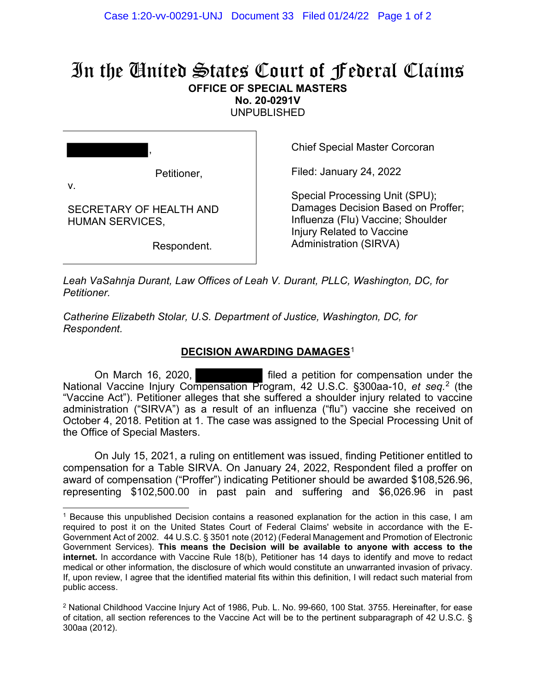## In the United States Court of Federal Claims **OFFICE OF SPECIAL MASTERS**

**No. 20-0291V** 

UNPUBLISHED

|    | ,           |
|----|-------------|
|    | Petitioner, |
| ν. |             |

SECRETARY OF HEALTH AND

HUMAN SERVICES,

Chief Special Master Corcoran

Filed: January 24, 2022

Special Processing Unit (SPU); Damages Decision Based on Proffer; Influenza (Flu) Vaccine; Shoulder Injury Related to Vaccine Administration (SIRVA)

Respondent.

*Leah VaSahnja Durant, Law Offices of Leah V. Durant, PLLC, Washington, DC, for Petitioner.*

*Catherine Elizabeth Stolar, U.S. Department of Justice, Washington, DC, for Respondent.*

## **DECISION AWARDING DAMAGES**<sup>1</sup>

On March 16, 2020, filed a petition for compensation under the National Vaccine Injury Compensation Program, 42 U.S.C. §300aa-10, *et seq.*<sup>2</sup> (the "Vaccine Act"). Petitioner alleges that she suffered a shoulder injury related to vaccine administration ("SIRVA") as a result of an influenza ("flu") vaccine she received on October 4, 2018. Petition at 1. The case was assigned to the Special Processing Unit of the Office of Special Masters.

On July 15, 2021, a ruling on entitlement was issued, finding Petitioner entitled to compensation for a Table SIRVA. On January 24, 2022, Respondent filed a proffer on award of compensation ("Proffer") indicating Petitioner should be awarded \$108,526.96, representing \$102,500.00 in past pain and suffering and \$6,026.96 in past

<sup>1</sup> Because this unpublished Decision contains a reasoned explanation for the action in this case, I am required to post it on the United States Court of Federal Claims' website in accordance with the E-Government Act of 2002. 44 U.S.C. § 3501 note (2012) (Federal Management and Promotion of Electronic Government Services). **This means the Decision will be available to anyone with access to the internet.** In accordance with Vaccine Rule 18(b), Petitioner has 14 days to identify and move to redact medical or other information, the disclosure of which would constitute an unwarranted invasion of privacy. If, upon review, I agree that the identified material fits within this definition, I will redact such material from public access.

<sup>2</sup> National Childhood Vaccine Injury Act of 1986, Pub. L. No. 99-660, 100 Stat. 3755. Hereinafter, for ease of citation, all section references to the Vaccine Act will be to the pertinent subparagraph of 42 U.S.C. § 300aa (2012).